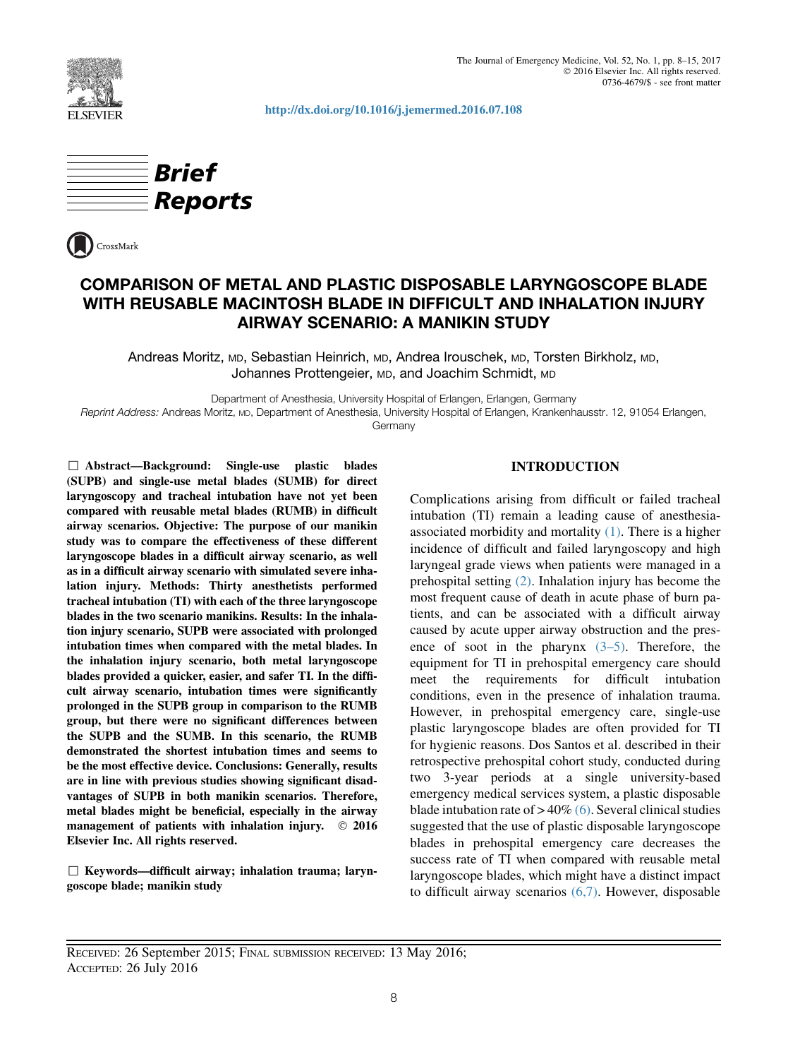

http://dx.doi.org/10.1016/j.jemermed.2016.07.108





# COMPARISON OF METAL AND PLASTIC DISPOSABLE LARYNGOSCOPE BLADE WITH REUSABLE MACINTOSH BLADE IN DIFFICULT AND INHALATION INJURY AIRWAY SCENARIO: A MANIKIN STUDY

Andreas Moritz, MD, Sebastian Heinrich, MD, Andrea Irouschek, MD, Torsten Birkholz, MD, Johannes Prottengeier, MD, and Joachim Schmidt, MD

Department of Anesthesia, University Hospital of Erlangen, Erlangen, Germany

Reprint Address: Andreas Moritz, MD, Department of Anesthesia, University Hospital of Erlangen, Krankenhausstr. 12, 91054 Erlangen, Germany

, Abstract—Background: Single-use plastic blades (SUPB) and single-use metal blades (SUMB) for direct laryngoscopy and tracheal intubation have not yet been compared with reusable metal blades (RUMB) in difficult airway scenarios. Objective: The purpose of our manikin study was to compare the effectiveness of these different laryngoscope blades in a difficult airway scenario, as well as in a difficult airway scenario with simulated severe inhalation injury. Methods: Thirty anesthetists performed tracheal intubation (TI) with each of the three laryngoscope blades in the two scenario manikins. Results: In the inhalation injury scenario, SUPB were associated with prolonged intubation times when compared with the metal blades. In the inhalation injury scenario, both metal laryngoscope blades provided a quicker, easier, and safer TI. In the difficult airway scenario, intubation times were significantly prolonged in the SUPB group in comparison to the RUMB group, but there were no significant differences between the SUPB and the SUMB. In this scenario, the RUMB demonstrated the shortest intubation times and seems to be the most effective device. Conclusions: Generally, results are in line with previous studies showing significant disadvantages of SUPB in both manikin scenarios. Therefore, metal blades might be beneficial, especially in the airway management of patients with inhalation injury.  $\circ$  2016 Elsevier Inc. All rights reserved.

 $\Box$  Keywords—difficult airway; inhalation trauma; laryngoscope blade; manikin study

# INTRODUCTION

Complications arising from difficult or failed tracheal intubation (TI) remain a leading cause of anesthesiaassociated morbidity and mortality  $(1)$ . There is a higher incidence of difficult and failed laryngoscopy and high laryngeal grade views when patients were managed in a prehospital setting (2). Inhalation injury has become the most frequent cause of death in acute phase of burn patients, and can be associated with a difficult airway caused by acute upper airway obstruction and the presence of soot in the pharynx  $(3-5)$ . Therefore, the equipment for TI in prehospital emergency care should meet the requirements for difficult intubation conditions, even in the presence of inhalation trauma. However, in prehospital emergency care, single-use plastic laryngoscope blades are often provided for TI for hygienic reasons. Dos Santos et al. described in their retrospective prehospital cohort study, conducted during two 3-year periods at a single university-based emergency medical services system, a plastic disposable blade intubation rate of  $> 40\%$  (6). Several clinical studies suggested that the use of plastic disposable laryngoscope blades in prehospital emergency care decreases the success rate of TI when compared with reusable metal laryngoscope blades, which might have a distinct impact to difficult airway scenarios (6,7). However, disposable

RECEIVED: 26 September 2015; FINAL SUBMISSION RECEIVED: 13 May 2016; ACCEPTED: 26 July 2016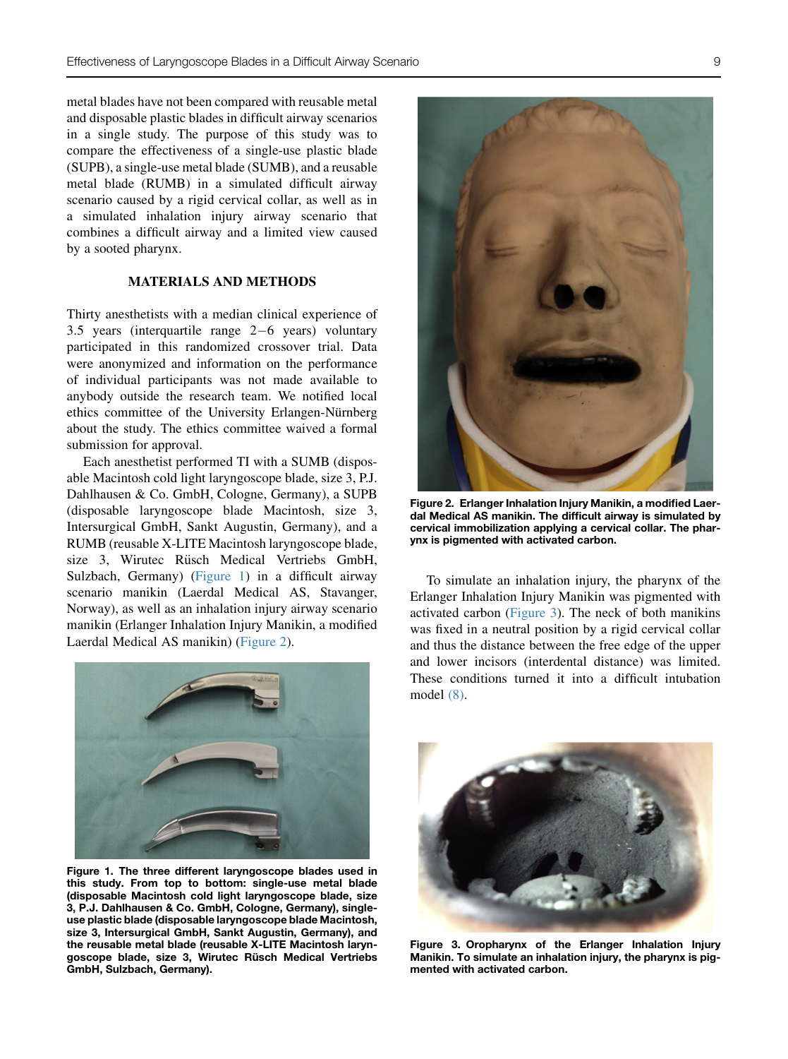metal blades have not been compared with reusable metal and disposable plastic blades in difficult airway scenarios in a single study. The purpose of this study was to compare the effectiveness of a single-use plastic blade (SUPB), a single-use metal blade (SUMB), and a reusable metal blade (RUMB) in a simulated difficult airway scenario caused by a rigid cervical collar, as well as in a simulated inhalation injury airway scenario that combines a difficult airway and a limited view caused by a sooted pharynx.

# MATERIALS AND METHODS

Thirty anesthetists with a median clinical experience of 3.5 years (interquartile range  $2-6$  years) voluntary participated in this randomized crossover trial. Data were anonymized and information on the performance of individual participants was not made available to anybody outside the research team. We notified local ethics committee of the University Erlangen-Nürnberg about the study. The ethics committee waived a formal submission for approval.

Each anesthetist performed TI with a SUMB (disposable Macintosh cold light laryngoscope blade, size 3, P.J. Dahlhausen & Co. GmbH, Cologne, Germany), a SUPB (disposable laryngoscope blade Macintosh, size 3, Intersurgical GmbH, Sankt Augustin, Germany), and a RUMB (reusable X-LITE Macintosh laryngoscope blade, size 3, Wirutec Rüsch Medical Vertriebs GmbH, Sulzbach, Germany) (Figure 1) in a difficult airway scenario manikin (Laerdal Medical AS, Stavanger, Norway), as well as an inhalation injury airway scenario manikin (Erlanger Inhalation Injury Manikin, a modified Laerdal Medical AS manikin) (Figure 2).



Figure 1. The three different laryngoscope blades used in this study. From top to bottom: single-use metal blade (disposable Macintosh cold light laryngoscope blade, size 3, P.J. Dahlhausen & Co. GmbH, Cologne, Germany), singleuse plastic blade (disposable laryngoscope blade Macintosh, size 3, Intersurgical GmbH, Sankt Augustin, Germany), and the reusable metal blade (reusable X-LITE Macintosh laryngoscope blade, size 3, Wirutec Rüsch Medical Vertriebs GmbH, Sulzbach, Germany).



Figure 2. Erlanger Inhalation Injury Manikin, a modified Laerdal Medical AS manikin. The difficult airway is simulated by cervical immobilization applying a cervical collar. The pharynx is pigmented with activated carbon.

To simulate an inhalation injury, the pharynx of the Erlanger Inhalation Injury Manikin was pigmented with activated carbon (Figure 3). The neck of both manikins was fixed in a neutral position by a rigid cervical collar and thus the distance between the free edge of the upper and lower incisors (interdental distance) was limited. These conditions turned it into a difficult intubation model (8).



Figure 3. Oropharynx of the Erlanger Inhalation Injury Manikin. To simulate an inhalation injury, the pharynx is pigmented with activated carbon.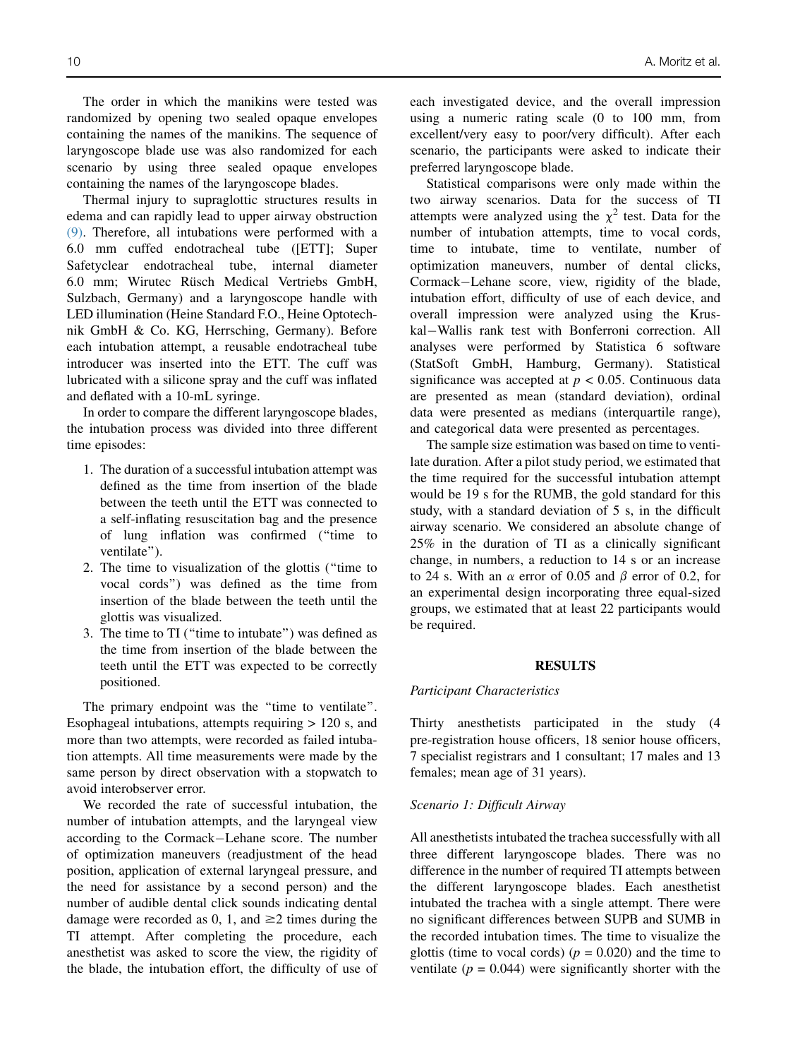The order in which the manikins were tested was randomized by opening two sealed opaque envelopes containing the names of the manikins. The sequence of laryngoscope blade use was also randomized for each scenario by using three sealed opaque envelopes containing the names of the laryngoscope blades.

Thermal injury to supraglottic structures results in edema and can rapidly lead to upper airway obstruction (9). Therefore, all intubations were performed with a 6.0 mm cuffed endotracheal tube ([ETT]; Super Safetyclear endotracheal tube, internal diameter 6.0 mm; Wirutec Rüsch Medical Vertriebs GmbH, Sulzbach, Germany) and a laryngoscope handle with LED illumination (Heine Standard F.O., Heine Optotechnik GmbH & Co. KG, Herrsching, Germany). Before each intubation attempt, a reusable endotracheal tube introducer was inserted into the ETT. The cuff was lubricated with a silicone spray and the cuff was inflated and deflated with a 10-mL syringe.

In order to compare the different laryngoscope blades, the intubation process was divided into three different time episodes:

- 1. The duration of a successful intubation attempt was defined as the time from insertion of the blade between the teeth until the ETT was connected to a self-inflating resuscitation bag and the presence of lung inflation was confirmed (''time to ventilate'').
- 2. The time to visualization of the glottis (''time to vocal cords'') was defined as the time from insertion of the blade between the teeth until the glottis was visualized.
- 3. The time to TI (''time to intubate'') was defined as the time from insertion of the blade between the teeth until the ETT was expected to be correctly positioned.

The primary endpoint was the "time to ventilate". Esophageal intubations, attempts requiring > 120 s, and more than two attempts, were recorded as failed intubation attempts. All time measurements were made by the same person by direct observation with a stopwatch to avoid interobserver error.

We recorded the rate of successful intubation, the number of intubation attempts, and the laryngeal view according to the Cormack-Lehane score. The number of optimization maneuvers (readjustment of the head position, application of external laryngeal pressure, and the need for assistance by a second person) and the number of audible dental click sounds indicating dental damage were recorded as 0, 1, and  $\geq$  2 times during the TI attempt. After completing the procedure, each anesthetist was asked to score the view, the rigidity of the blade, the intubation effort, the difficulty of use of each investigated device, and the overall impression using a numeric rating scale (0 to 100 mm, from excellent/very easy to poor/very difficult). After each scenario, the participants were asked to indicate their preferred laryngoscope blade.

Statistical comparisons were only made within the two airway scenarios. Data for the success of TI attempts were analyzed using the  $\chi^2$  test. Data for the number of intubation attempts, time to vocal cords, time to intubate, time to ventilate, number of optimization maneuvers, number of dental clicks, Cormack-Lehane score, view, rigidity of the blade, intubation effort, difficulty of use of each device, and overall impression were analyzed using the Kruskal-Wallis rank test with Bonferroni correction. All analyses were performed by Statistica 6 software (StatSoft GmbH, Hamburg, Germany). Statistical significance was accepted at  $p < 0.05$ . Continuous data are presented as mean (standard deviation), ordinal data were presented as medians (interquartile range), and categorical data were presented as percentages.

The sample size estimation was based on time to ventilate duration. After a pilot study period, we estimated that the time required for the successful intubation attempt would be 19 s for the RUMB, the gold standard for this study, with a standard deviation of 5 s, in the difficult airway scenario. We considered an absolute change of 25% in the duration of TI as a clinically significant change, in numbers, a reduction to 14 s or an increase to 24 s. With an  $\alpha$  error of 0.05 and  $\beta$  error of 0.2, for an experimental design incorporating three equal-sized groups, we estimated that at least 22 participants would be required.

#### RESULTS

# Participant Characteristics

Thirty anesthetists participated in the study (4 pre-registration house officers, 18 senior house officers, 7 specialist registrars and 1 consultant; 17 males and 13 females; mean age of 31 years).

#### Scenario 1: Difficult Airway

All anesthetists intubated the trachea successfully with all three different laryngoscope blades. There was no difference in the number of required TI attempts between the different laryngoscope blades. Each anesthetist intubated the trachea with a single attempt. There were no significant differences between SUPB and SUMB in the recorded intubation times. The time to visualize the glottis (time to vocal cords) ( $p = 0.020$ ) and the time to ventilate ( $p = 0.044$ ) were significantly shorter with the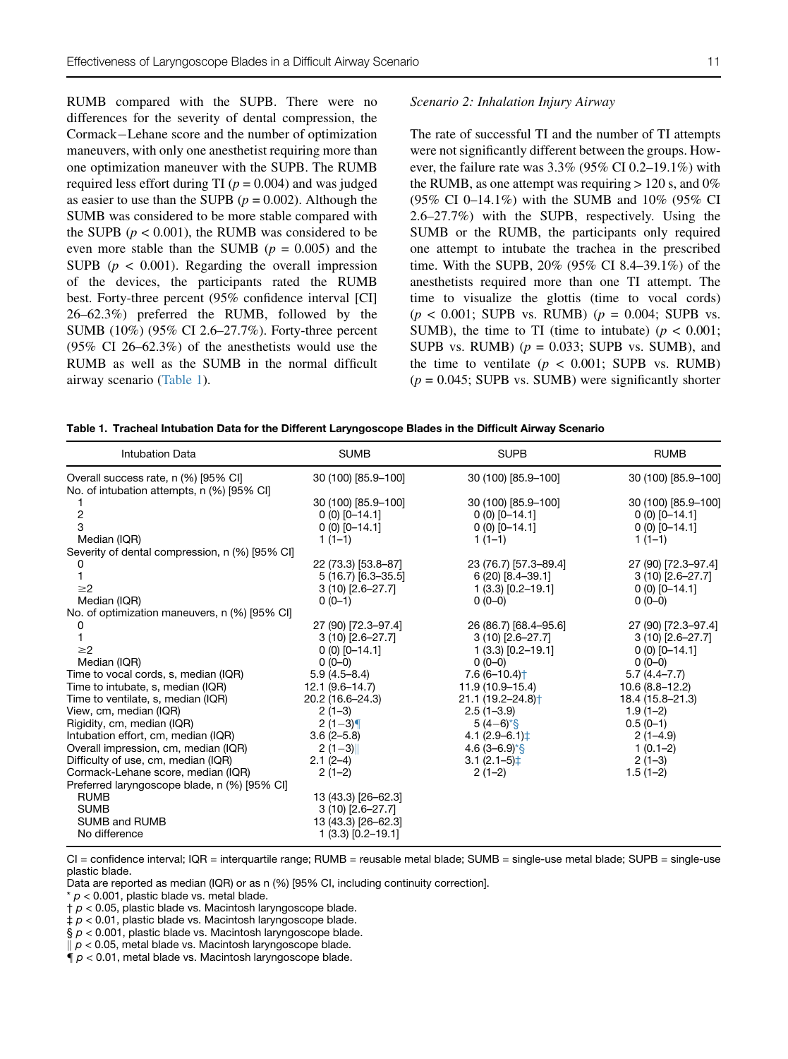RUMB compared with the SUPB. There were no differences for the severity of dental compression, the Cormack–Lehane score and the number of optimization maneuvers, with only one anesthetist requiring more than one optimization maneuver with the SUPB. The RUMB required less effort during TI ( $p = 0.004$ ) and was judged as easier to use than the SUPB ( $p = 0.002$ ). Although the SUMB was considered to be more stable compared with the SUPB ( $p < 0.001$ ), the RUMB was considered to be even more stable than the SUMB ( $p = 0.005$ ) and the SUPB ( $p < 0.001$ ). Regarding the overall impression of the devices, the participants rated the RUMB best. Forty-three percent (95% confidence interval [CI] 26–62.3%) preferred the RUMB, followed by the SUMB (10%) (95% CI 2.6–27.7%). Forty-three percent (95% CI 26–62.3%) of the anesthetists would use the RUMB as well as the SUMB in the normal difficult airway scenario (Table 1).

#### Scenario 2: Inhalation Injury Airway

The rate of successful TI and the number of TI attempts were not significantly different between the groups. However, the failure rate was 3.3% (95% CI 0.2–19.1%) with the RUMB, as one attempt was requiring  $> 120$  s, and 0% (95% CI 0–14.1%) with the SUMB and 10% (95% CI 2.6–27.7%) with the SUPB, respectively. Using the SUMB or the RUMB, the participants only required one attempt to intubate the trachea in the prescribed time. With the SUPB, 20% (95% CI 8.4–39.1%) of the anesthetists required more than one TI attempt. The time to visualize the glottis (time to vocal cords)  $(p < 0.001$ ; SUPB vs. RUMB)  $(p = 0.004$ ; SUPB vs. SUMB), the time to TI (time to intubate) ( $p < 0.001$ ; SUPB vs. RUMB)  $(p = 0.033;$  SUPB vs. SUMB), and the time to ventilate  $(p < 0.001;$  SUPB vs. RUMB)  $(p = 0.045;$  SUPB vs. SUMB) were significantly shorter

|  |  |  |  |  |  |  | Table 1. Tracheal Intubation Data for the Different Laryngoscope Blades in the Difficult Airway Scenario |
|--|--|--|--|--|--|--|----------------------------------------------------------------------------------------------------------|
|--|--|--|--|--|--|--|----------------------------------------------------------------------------------------------------------|

| <b>Intubation Data</b>                         | <b>SUMB</b>          | <b>SUPB</b>                  | <b>RUMB</b>         |
|------------------------------------------------|----------------------|------------------------------|---------------------|
| Overall success rate, n (%) [95% CI]           | 30 (100) [85.9-100]  | 30 (100) [85.9-100]          | 30 (100) [85.9-100] |
| No. of intubation attempts, n (%) [95% CI]     |                      |                              |                     |
|                                                | 30 (100) [85.9-100]  | 30 (100) [85.9-100]          | 30 (100) [85.9-100] |
| 2                                              | $0(0)$ [0-14.1]      | $0(0)$ [0-14.1]              | $0(0)$ [0-14.1]     |
| 3                                              | $0(0)$ [0-14.1]      | $0(0)$ [0-14.1]              | $0(0)$ [0-14.1]     |
| Median (IQR)                                   | $1(1-1)$             | $1(1-1)$                     | $1(1-1)$            |
| Severity of dental compression, n (%) [95% CI] |                      |                              |                     |
|                                                | 22 (73.3) [53.8-87]  | 23 (76.7) [57.3-89.4]        | 27 (90) [72.3-97.4] |
|                                                | $5(16.7)$ [6.3-35.5] | $6(20)$ [8.4-39.1]           | $3(10)$ [2.6-27.7]  |
| $\geq$ 2                                       | $3(10)$ [2.6-27.7]   | $1(3.3)$ [0.2-19.1]          | $0(0)$ [0-14.1]     |
| Median (IQR)                                   | $0(0-1)$             | $0(0-0)$                     | $0(0-0)$            |
| No. of optimization maneuvers, n (%) [95% CI]  |                      |                              |                     |
| 0                                              | 27 (90) [72.3-97.4]  | 26 (86.7) [68.4-95.6]        | 27 (90) [72.3-97.4] |
|                                                | $3(10)$ [2.6-27.7]   | $3(10)$ [2.6-27.7]           | $3(10)$ [2.6-27.7]  |
| $\geq$ 2                                       | $0(0)$ [0-14.1]      | $1(3.3)$ [0.2-19.1]          | $0(0)$ [0-14.1]     |
| Median (IQR)                                   | $0(0-0)$             | $0(0-0)$                     | $0(0-0)$            |
| Time to vocal cords, s, median (IQR)           | $5.9(4.5 - 8.4)$     | $7.6(6 - 10.4)$ <sup>+</sup> | $5.7(4.4 - 7.7)$    |
| Time to intubate, s, median (IQR)              | $12.1 (9.6 - 14.7)$  | 11.9 (10.9-15.4)             | 10.6 (8.8-12.2)     |
| Time to ventilate, s, median (IQR)             | 20.2 (16.6-24.3)     | $21.1(19.2 - 24.8)$          | 18.4 (15.8-21.3)    |
| View, cm, median (IQR)                         | $2(1-3)$             | $2.5(1 - 3.9)$               | $1.9(1-2)$          |
| Rigidity, cm, median (IQR)                     | $2(1-3)$             | $5(4-6)*$ §                  | $0.5(0-1)$          |
| Intubation effort, cm, median (IQR)            | $3.6(2 - 5.8)$       | 4.1 $(2.9 - 6.1)$ $\pm$      | $2(1-4.9)$          |
| Overall impression, cm, median (IQR)           | $2(1-3)$             | 4.6 $(3-6.9)$ <sup>*</sup> § | $1(0.1-2)$          |
| Difficulty of use, cm, median (IQR)            | $2.1(2-4)$           | $3.1(2.1-5)$                 | $2(1-3)$            |
| Cormack-Lehane score, median (IQR)             | $2(1-2)$             | $2(1-2)$                     | $1.5(1-2)$          |
| Preferred laryngoscope blade, n (%) [95% CI]   |                      |                              |                     |
| <b>RUMB</b>                                    | 13 (43.3) [26-62.3]  |                              |                     |
| <b>SUMB</b>                                    | $3(10)$ [2.6-27.7]   |                              |                     |
| SUMB and RUMB                                  | 13 (43.3) [26-62.3]  |                              |                     |
| No difference                                  | $1(3.3)$ [0.2-19.1]  |                              |                     |

CI = confidence interval; IQR = interquartile range; RUMB = reusable metal blade; SUMB = single-use metal blade; SUPB = single-use plastic blade.

Data are reported as median (IQR) or as n (%) [95% CI, including continuity correction].

 $* p < 0.001$ , plastic blade vs. metal blade.

† *p* < 0.05, plastic blade vs. Macintosh laryngoscope blade.

‡ *p* < 0.01, plastic blade vs. Macintosh laryngoscope blade.

§ *p* < 0.001, plastic blade vs. Macintosh laryngoscope blade.

 $\| p < 0.05$ , metal blade vs. Macintosh laryngoscope blade.

 $\overline{\P}$   $p$  < 0.01, metal blade vs. Macintosh laryngoscope blade.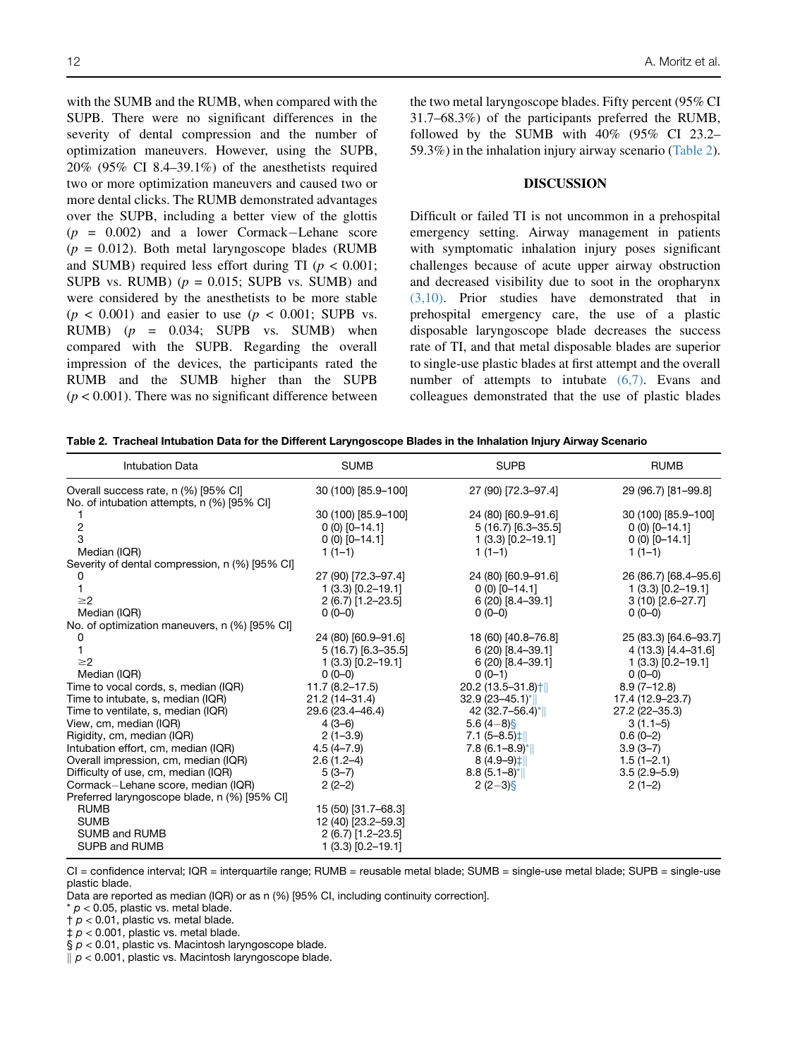with the SUMB and the RUMB, when compared with the SUPB. There were no significant differences in the severity of dental compression and the number of optimization maneuvers. However, using the SUPB, 20% (95% CI 8.4–39.1%) of the anesthetists required two or more optimization maneuvers and caused two or more dental clicks. The RUMB demonstrated advantages over the SUPB, including a better view of the glottis  $(p = 0.002)$  and a lower Cormack–Lehane score  $(p = 0.012)$ . Both metal laryngoscope blades (RUMB) and SUMB) required less effort during TI ( $p < 0.001$ ; SUPB vs. RUMB)  $(p = 0.015;$  SUPB vs. SUMB) and were considered by the anesthetists to be more stable  $(p < 0.001)$  and easier to use  $(p < 0.001$ ; SUPB vs. RUMB)  $(p = 0.034;$  SUPB vs. SUMB) when compared with the SUPB. Regarding the overall impression of the devices, the participants rated the RUMB and the SUMB higher than the SUPB  $(p < 0.001)$ . There was no significant difference between the two metal laryngoscope blades. Fifty percent (95% CI 31.7–68.3%) of the participants preferred the RUMB, followed by the SUMB with 40% (95% CI 23.2– 59.3%) in the inhalation injury airway scenario (Table 2).

#### DISCUSSION

Difficult or failed TI is not uncommon in a prehospital emergency setting. Airway management in patients with symptomatic inhalation injury poses significant challenges because of acute upper airway obstruction and decreased visibility due to soot in the oropharynx (3,10). Prior studies have demonstrated that in prehospital emergency care, the use of a plastic disposable laryngoscope blade decreases the success rate of TI, and that metal disposable blades are superior to single-use plastic blades at first attempt and the overall number of attempts to intubate (6,7). Evans and colleagues demonstrated that the use of plastic blades

|  |  |  | Table 2.  Tracheal Intubation Data for the Different Laryngoscope Blades in the Inhalation Injury Airway Scenario |  |  |
|--|--|--|-------------------------------------------------------------------------------------------------------------------|--|--|
|--|--|--|-------------------------------------------------------------------------------------------------------------------|--|--|

| <b>Intubation Data</b>                         | <b>SUMB</b>          | <b>SUPB</b>                                 | <b>RUMB</b>           |
|------------------------------------------------|----------------------|---------------------------------------------|-----------------------|
| Overall success rate, n (%) [95% CI]           | 30 (100) [85.9-100]  | 27 (90) [72.3-97.4]                         | 29 (96.7) [81-99.8]   |
| No. of intubation attempts, n (%) [95% CI]     |                      |                                             |                       |
|                                                | 30 (100) [85.9-100]  | 24 (80) [60.9-91.6]                         | 30 (100) [85.9-100]   |
| 2                                              | $0(0)$ [0-14.1]      | $5(16.7)$ [6.3-35.5]                        | $0(0)$ [0-14.1]       |
| 3                                              | $0(0)$ [0-14.1]      | $1(3.3)$ [0.2-19.1]                         | $0(0)$ [0-14.1]       |
| Median (IQR)                                   | $1(1-1)$             | $1(1-1)$                                    | $1(1-1)$              |
| Severity of dental compression, n (%) [95% CI] |                      |                                             |                       |
|                                                | 27 (90) [72.3-97.4]  | 24 (80) [60.9-91.6]                         | 26 (86.7) [68.4-95.6] |
|                                                | $1(3.3)$ [0.2-19.1]  | $0(0)$ [0-14.1]                             | $1(3.3)$ [0.2-19.1]   |
| $\geq$ 2                                       | 2 (6.7) [1.2-23.5]   | 6 (20) [8.4-39.1]                           | $3(10)$ [2.6-27.7]    |
| Median (IQR)                                   | $0(0-0)$             | $0(0-0)$                                    | $0(0-0)$              |
| No. of optimization maneuvers, n (%) [95% CI]  |                      |                                             |                       |
| 0                                              | 24 (80) [60.9-91.6]  | 18 (60) [40.8-76.8]                         | 25 (83.3) [64.6-93.7] |
|                                                | $5(16.7)$ [6.3-35.5] | $6(20)$ [8.4-39.1]                          | 4 (13.3) [4.4-31.6]   |
| $\geq$ 2                                       | $1(3.3)$ [0.2-19.1]  | $6(20)$ [8.4-39.1]                          | $1(3.3)$ [0.2-19.1]   |
| Median (IQR)                                   | $0(0-0)$             | $0(0-1)$                                    | $0(0-0)$              |
| Time to vocal cords, s, median (IQR)           | $11.7(8.2 - 17.5)$   | 20.2 (13.5-31.8) †                          | $8.9(7-12.8)$         |
| Time to intubate, s, median (IQR)              | 21.2 (14-31.4)       | $32.9(23 - 45.1)^{*}$                       | 17.4 (12.9-23.7)      |
| Time to ventilate, s, median (IQR)             | 29.6 (23.4-46.4)     | 42 (32.7-56.4)*                             | $27.2(22 - 35.3)$     |
| View, cm, median (IQR)                         | $4(3-6)$             | 5.6 $(4-8)$ §                               | $3(1.1-5)$            |
| Rigidity, cm, median (IQR)                     | $2(1-3.9)$           | $7.1 (5 - 8.5)$ <sup><math>\pm</math></sup> | $0.6(0-2)$            |
| Intubation effort, cm, median (IQR)            | $4.5(4 - 7.9)$       | $7.8(6.1 - 8.9)^{*}$                        | $3.9(3 - 7)$          |
| Overall impression, cm, median (IQR)           | $2.6(1.2-4)$         | $8(4.9-9)$ <sup><math>\pm</math></sup>      | $1.5(1 - 2.1)$        |
| Difficulty of use, cm, median (IQR)            | $5(3-7)$             | $8.8(5.1-8)$ <sup>*</sup>                   | $3.5(2.9 - 5.9)$      |
| Cormack-Lehane score, median (IQR)             | $2(2-2)$             | $2(2-3)$ §                                  | $2(1-2)$              |
| Preferred laryngoscope blade, n (%) [95% CI]   |                      |                                             |                       |
| <b>RUMB</b>                                    | 15 (50) [31.7-68.3]  |                                             |                       |
| <b>SUMB</b>                                    | 12 (40) [23.2-59.3]  |                                             |                       |
| SUMB and RUMB                                  | $2(6.7)$ [1.2-23.5]  |                                             |                       |
| SUPB and RUMB                                  | $1(3.3)$ [0.2-19.1]  |                                             |                       |

CI = confidence interval; IQR = interquartile range; RUMB = reusable metal blade; SUMB = single-use metal blade; SUPB = single-use plastic blade.

Data are reported as median (IQR) or as n (%) [95% CI, including continuity correction].

\* *p* < 0.05, plastic vs. metal blade.

 $\uparrow$   $p$  < 0.01, plastic vs. metal blade.

‡ *p* < 0.001, plastic vs. metal blade.

§  $p$  < 0.01, plastic vs. Macintosh laryngoscope blade.

 $\mu$   $p$  < 0.001, plastic vs. Macintosh laryngoscope blade.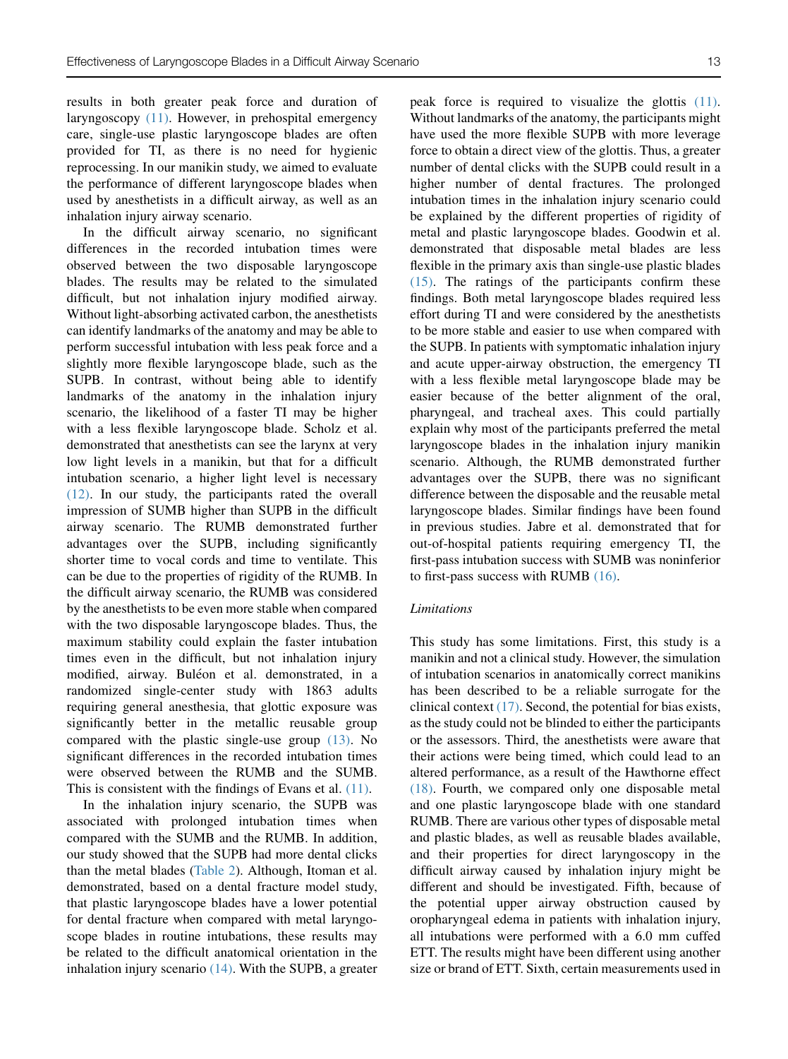results in both greater peak force and duration of laryngoscopy (11). However, in prehospital emergency care, single-use plastic laryngoscope blades are often provided for TI, as there is no need for hygienic reprocessing. In our manikin study, we aimed to evaluate the performance of different laryngoscope blades when used by anesthetists in a difficult airway, as well as an inhalation injury airway scenario.

In the difficult airway scenario, no significant differences in the recorded intubation times were observed between the two disposable laryngoscope blades. The results may be related to the simulated difficult, but not inhalation injury modified airway. Without light-absorbing activated carbon, the anesthetists can identify landmarks of the anatomy and may be able to perform successful intubation with less peak force and a slightly more flexible laryngoscope blade, such as the SUPB. In contrast, without being able to identify landmarks of the anatomy in the inhalation injury scenario, the likelihood of a faster TI may be higher with a less flexible laryngoscope blade. Scholz et al. demonstrated that anesthetists can see the larynx at very low light levels in a manikin, but that for a difficult intubation scenario, a higher light level is necessary (12). In our study, the participants rated the overall impression of SUMB higher than SUPB in the difficult airway scenario. The RUMB demonstrated further advantages over the SUPB, including significantly shorter time to vocal cords and time to ventilate. This can be due to the properties of rigidity of the RUMB. In the difficult airway scenario, the RUMB was considered by the anesthetists to be even more stable when compared with the two disposable laryngoscope blades. Thus, the maximum stability could explain the faster intubation times even in the difficult, but not inhalation injury modified, airway. Buléon et al. demonstrated, in a randomized single-center study with 1863 adults requiring general anesthesia, that glottic exposure was significantly better in the metallic reusable group compared with the plastic single-use group (13). No significant differences in the recorded intubation times were observed between the RUMB and the SUMB. This is consistent with the findings of Evans et al. (11).

In the inhalation injury scenario, the SUPB was associated with prolonged intubation times when compared with the SUMB and the RUMB. In addition, our study showed that the SUPB had more dental clicks than the metal blades (Table 2). Although, Itoman et al. demonstrated, based on a dental fracture model study, that plastic laryngoscope blades have a lower potential for dental fracture when compared with metal laryngoscope blades in routine intubations, these results may be related to the difficult anatomical orientation in the inhalation injury scenario (14). With the SUPB, a greater peak force is required to visualize the glottis (11). Without landmarks of the anatomy, the participants might have used the more flexible SUPB with more leverage force to obtain a direct view of the glottis. Thus, a greater number of dental clicks with the SUPB could result in a higher number of dental fractures. The prolonged intubation times in the inhalation injury scenario could be explained by the different properties of rigidity of metal and plastic laryngoscope blades. Goodwin et al. demonstrated that disposable metal blades are less flexible in the primary axis than single-use plastic blades (15). The ratings of the participants confirm these findings. Both metal laryngoscope blades required less effort during TI and were considered by the anesthetists to be more stable and easier to use when compared with the SUPB. In patients with symptomatic inhalation injury and acute upper-airway obstruction, the emergency TI with a less flexible metal laryngoscope blade may be easier because of the better alignment of the oral, pharyngeal, and tracheal axes. This could partially explain why most of the participants preferred the metal laryngoscope blades in the inhalation injury manikin scenario. Although, the RUMB demonstrated further advantages over the SUPB, there was no significant difference between the disposable and the reusable metal laryngoscope blades. Similar findings have been found in previous studies. Jabre et al. demonstrated that for out-of-hospital patients requiring emergency TI, the first-pass intubation success with SUMB was noninferior to first-pass success with RUMB (16).

# Limitations

This study has some limitations. First, this study is a manikin and not a clinical study. However, the simulation of intubation scenarios in anatomically correct manikins has been described to be a reliable surrogate for the clinical context  $(17)$ . Second, the potential for bias exists, as the study could not be blinded to either the participants or the assessors. Third, the anesthetists were aware that their actions were being timed, which could lead to an altered performance, as a result of the Hawthorne effect (18). Fourth, we compared only one disposable metal and one plastic laryngoscope blade with one standard RUMB. There are various other types of disposable metal and plastic blades, as well as reusable blades available, and their properties for direct laryngoscopy in the difficult airway caused by inhalation injury might be different and should be investigated. Fifth, because of the potential upper airway obstruction caused by oropharyngeal edema in patients with inhalation injury, all intubations were performed with a 6.0 mm cuffed ETT. The results might have been different using another size or brand of ETT. Sixth, certain measurements used in